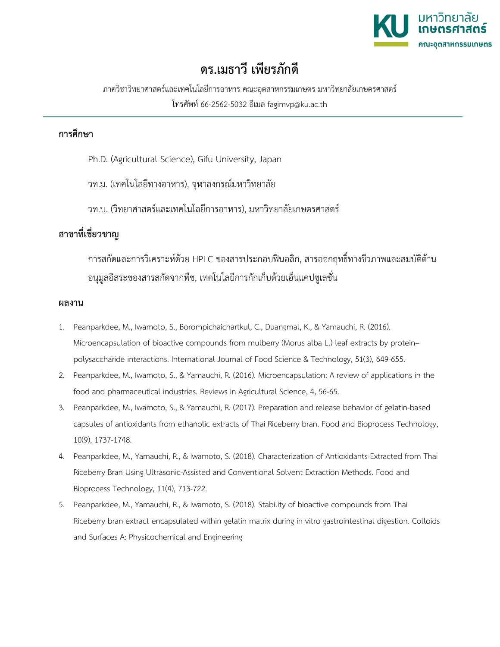

## **ดร.เมธาวี เพียรภักดี**

ภาควิชาวิทยาศาสตรและเทคโนโลยีการอาหาร คณะอุตสาหกรรมเกษตร มหาวิทยาลัยเกษตรศาสตร โทรศัพท 66-2562-5032 อีเมล fagimvp@ku.ac.th

## **การศึกษา**

- Ph.D. (Agricultural Science), Gifu University, Japan
- วท.ม. (เทคโนโลยีทางอาหาร), จุฬาลงกรณมหาวิทยาลัย
- วท.บ. (วิทยาศาสตรและเทคโนโลยีการอาหาร), มหาวิทยาลัยเกษตรศาสตร

## **สาขาที่เชี่ยวชาญ**

การสกัดและการวิเคราะหดวย HPLC ของสารประกอบฟนอลิก, สารออกฤทธิ์ทางชีวภาพและสมบัติตาน อนุมูลอิสระของสารสกัดจากพืช, เทคโนโลยีการกักเก็บดวยเอ็นแคปซูเลชั่น

## **ผลงาน**

- 1. Peanparkdee, M., Iwamoto, S., Borompichaichartkul, C., Duangmal, K., & Yamauchi, R. (2016). Microencapsulation of bioactive compounds from mulberry (Morus alba L.) leaf extracts by protein– polysaccharide interactions. International Journal of Food Science & Technology, 51(3), 649-655.
- 2. Peanparkdee, M., Iwamoto, S., & Yamauchi, R. (2016). Microencapsulation: A review of applications in the food and pharmaceutical industries. Reviews in Agricultural Science, 4, 56-65.
- 3. Peanparkdee, M., Iwamoto, S., & Yamauchi, R. (2017). Preparation and release behavior of gelatin-based capsules of antioxidants from ethanolic extracts of Thai Riceberry bran. Food and Bioprocess Technology, 10(9), 1737-1748.
- 4. Peanparkdee, M., Yamauchi, R., & Iwamoto, S. (2018). Characterization of Antioxidants Extracted from Thai Riceberry Bran Using Ultrasonic-Assisted and Conventional Solvent Extraction Methods. Food and Bioprocess Technology, 11(4), 713-722.
- 5. Peanparkdee, M., Yamauchi, R., & Iwamoto, S. (2018). Stability of bioactive compounds from Thai Riceberry bran extract encapsulated within gelatin matrix during in vitro gastrointestinal digestion. Colloids and Surfaces A: Physicochemical and Engineering